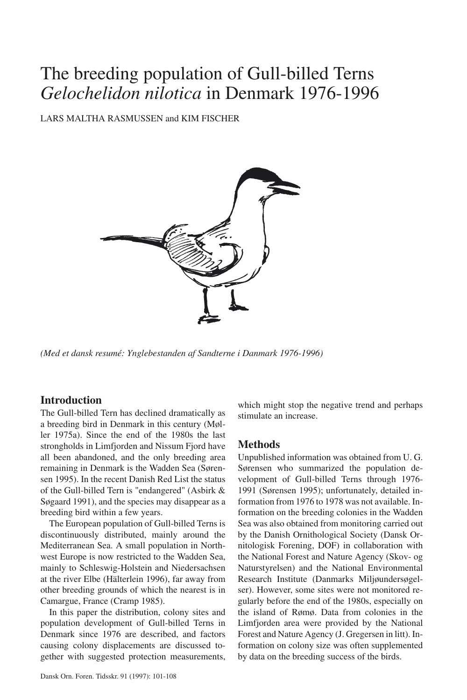# The breeding population of Gull-billed Terns *Gelochelidon nilotica* in Denmark 1976-1996

LARS MALTHA RASMUSSEN and KIM FISCHER



*(Med et dansk resumé: Ynglebestanden af Sandterne i Danmark 1976-1996)*

### **Introduction**

The Gull-billed Tern has declined dramatically as a breeding bird in Denmark in this century (Møller 1975a). Since the end of the 1980s the last strongholds in Limfjorden and Nissum Fjord have all been abandoned, and the only breeding area remaining in Denmark is the Wadden Sea (Sørensen 1995). In the recent Danish Red List the status of the Gull-billed Tern is "endangered" (Asbirk & Søgaard 1991), and the species may disappear as a breeding bird within a few years.

The European population of Gull-billed Terns is discontinuously distributed, mainly around the Mediterranean Sea. A small population in Northwest Europe is now restricted to the Wadden Sea, mainly to Schleswig-Holstein and Niedersachsen at the river Elbe (Hälterlein 1996), far away from other breeding grounds of which the nearest is in Camargue, France (Cramp 1985).

In this paper the distribution, colony sites and population development of Gull-billed Terns in Denmark since 1976 are described, and factors causing colony displacements are discussed together with suggested protection measurements, which might stop the negative trend and perhaps stimulate an increase.

### **Methods**

Unpublished information was obtained from U. G. Sørensen who summarized the population development of Gull-billed Terns through 1976- 1991 (Sørensen 1995); unfortunately, detailed information from 1976 to 1978 was not available. Information on the breeding colonies in the Wadden Sea was also obtained from monitoring carried out by the Danish Ornithological Society (Dansk Ornitologisk Forening, DOF) in collaboration with the National Forest and Nature Agency (Skov- og Naturstyrelsen) and the National Environmental Research Institute (Danmarks Miljøundersøgelser). However, some sites were not monitored regularly before the end of the 1980s, especially on the island of Rømø. Data from colonies in the Limfjorden area were provided by the National Forest and Nature Agency (J. Gregersen in litt). Information on colony size was often supplemented by data on the breeding success of the birds.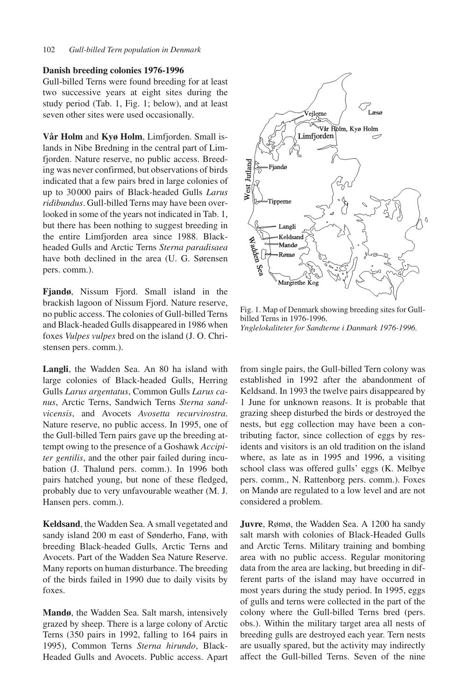#### **Danish breeding colonies 1976-1996**

Gull-billed Terns were found breeding for at least two successive years at eight sites during the study period (Tab. 1, Fig. 1; below), and at least seven other sites were used occasionally.

**Vår Holm** and **Kyø Holm**, Limfjorden. Small islands in Nibe Bredning in the central part of Limfjorden. Nature reserve, no public access. Breeding was never confirmed, but observations of birds indicated that a few pairs bred in large colonies of up to 30 000 pairs of Black-headed Gulls *Larus ridibundus*. Gull-billed Terns may have been overlooked in some of the years not indicated in Tab. 1, but there has been nothing to suggest breeding in the entire Limfjorden area since 1988. Blackheaded Gulls and Arctic Terns *Sterna paradisaea* have both declined in the area (U. G. Sørensen pers. comm.).

**Fjandø**, Nissum Fjord. Small island in the brackish lagoon of Nissum Fiord. Nature reserve, no public access. The colonies of Gull-billed Terns and Black-headed Gulls disappeared in 1986 when foxes *Vulpes vulpes* bred on the island (J. O. Christensen pers. comm.).

**Langli**, the Wadden Sea. An 80 ha island with large colonies of Black-headed Gulls, Herring Gulls *Larus argentatus*, Common Gulls *Larus canus*, Arctic Terns, Sandwich Terns *Sterna sandvicensis*, and Avocets *Avosetta recurvirostra*. Nature reserve, no public access. In 1995, one of the Gull-billed Tern pairs gave up the breeding attempt owing to the presence of a Goshawk *Accipiter gentilis*, and the other pair failed during incubation (J. Thalund pers. comm.). In 1996 both pairs hatched young, but none of these fledged, probably due to very unfavourable weather (M. J. Hansen pers. comm.).

**Keldsand**, the Wadden Sea. A small vegetated and sandy island 200 m east of Sønderho, Fanø, with breeding Black-headed Gulls, Arctic Terns and Avocets. Part of the Wadden Sea Nature Reserve. Many reports on human disturbance. The breeding of the birds failed in 1990 due to daily visits by foxes.

**Mandø**, the Wadden Sea. Salt marsh, intensively grazed by sheep. There is a large colony of Arctic Terns (350 pairs in 1992, falling to 164 pairs in 1995), Common Terns *Sterna hirundo*, Black-Headed Gulls and Avocets. Public access. Apart



Fig. 1. Map of Denmark showing breeding sites for Gullbilled Terns in 1976-1996. *Ynglelokaliteter for Sandterne i Danmark 1976-1996.*

from single pairs, the Gull-billed Tern colony was established in 1992 after the abandonment of Keldsand. In 1993 the twelve pairs disappeared by 1 June for unknown reasons. It is probable that grazing sheep disturbed the birds or destroyed the nests, but egg collection may have been a contributing factor, since collection of eggs by residents and visitors is an old tradition on the island where, as late as in 1995 and 1996, a visiting school class was offered gulls' eggs (K. Melbye pers. comm., N. Rattenborg pers. comm.). Foxes on Mandø are regulated to a low level and are not considered a problem.

**Juvre**, Rømø, the Wadden Sea. A 1200 ha sandy salt marsh with colonies of Black-Headed Gulls and Arctic Terns. Military training and bombing area with no public access. Regular monitoring data from the area are lacking, but breeding in different parts of the island may have occurred in most years during the study period. In 1995, eggs of gulls and terns were collected in the part of the colony where the Gull-billed Terns bred (pers. obs.). Within the military target area all nests of breeding gulls are destroyed each year. Tern nests are usually spared, but the activity may indirectly affect the Gull-billed Terns. Seven of the nine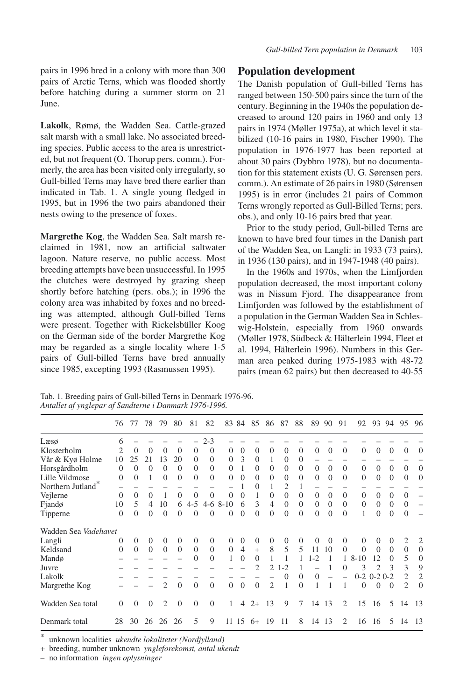**Lakolk**, Rømø, the Wadden Sea. Cattle-grazed salt marsh with a small lake. No associated breeding species. Public access to the area is unrestricted, but not frequent (O. Thorup pers. comm.). Formerly, the area has been visited only irregularly, so Gull-billed Terns may have bred there earlier than indicated in Tab. 1. A single young fledged in 1995, but in 1996 the two pairs abandoned their nests owing to the presence of foxes.

**Margrethe Kog**, the Wadden Sea. Salt marsh reclaimed in 1981, now an artificial saltwater lagoon. Nature reserve, no public access. Most breeding attempts have been unsuccessful. In 1995 the clutches were destroyed by grazing sheep shortly before hatching (pers. obs.); in 1996 the colony area was inhabited by foxes and no breeding was attempted, although Gull-billed Terns were present. Together with Rickelsbüller Koog on the German side of the border Margrethe Kog may be regarded as a single locality where 1-5 pairs of Gull-billed Terns have bred annually since 1985, excepting 1993 (Rasmussen 1995).

### **Population development**

The Danish population of Gull-billed Terns has ranged between 150-500 pairs since the turn of the century. Beginning in the 1940s the population decreased to around 120 pairs in 1960 and only 13 pairs in 1974 (Møller 1975a), at which level it stabilized (10-16 pairs in 1980, Fischer 1990). The population in 1976-1977 has been reported at about 30 pairs (Dybbro 1978), but no documentation for this statement exists (U. G. Sørensen pers. comm.). An estimate of 26 pairs in 1980 (Sørensen 1995) is in error (includes 21 pairs of Common Terns wrongly reported as Gull-Billed Terns; pers. obs.), and only 10-16 pairs bred that year.

Prior to the study period, Gull-billed Terns are known to have bred four times in the Danish part of the Wadden Sea, on Langli: in 1933 (73 pairs), in 1936 (130 pairs), and in 1947-1948 (40 pairs).

In the 1960s and 1970s, when the Limfjorden population decreased, the most important colony was in Nissum Fjord. The disappearance from Limfjorden was followed by the establishment of a population in the German Wadden Sea in Schleswig-Holstein, especially from 1960 onwards (Møller 1978, Südbeck & Hälterlein 1994, Fleet et al. 1994, Hälterlein 1996). Numbers in this German area peaked during 1975-1983 with 48-72 pairs (mean 62 pairs) but then decreased to 40-55

Tab. 1. Breeding pairs of Gull-billed Terns in Denmark 1976-96. *Antallet af ynglepar af Sandterne i Danmark 1976-1996.*

|                      | 76             | 77       | 78       | 79             | 80       | 81             | 82       | 83           | -84            | 85             | 86             | 87       | 88       | 89             | 90       | 91       | 92                | 93       | 94       | 95             | 96             |
|----------------------|----------------|----------|----------|----------------|----------|----------------|----------|--------------|----------------|----------------|----------------|----------|----------|----------------|----------|----------|-------------------|----------|----------|----------------|----------------|
| Læsø                 | 6              |          |          |                |          |                | $2 - 3$  |              |                |                |                |          |          |                |          |          |                   |          |          |                |                |
| Klosterholm          | $\overline{c}$ | $\theta$ | $\Omega$ | $\Omega$       | $\Omega$ | $\Omega$       | $\Omega$ | $\Omega$     | $\Omega$       | $\Omega$       | $\Omega$       | $\Omega$ | $\Omega$ | $\Omega$       | $\Omega$ | $\Omega$ | $\Omega$          | $\Omega$ | $\Omega$ | $\Omega$       | $\theta$       |
| Vår & Kyø Holme      | 10             | 25       | 21       | 13             | 20       | $\theta$       | $\Omega$ | $\Omega$     | 3              | $\overline{0}$ |                | $\Omega$ | $\Omega$ |                |          |          |                   |          |          |                |                |
| Horsgårdholm         | $\Omega$       | $\Omega$ | $\Omega$ | $\theta$       | $\Omega$ | $\theta$       | $\Omega$ | $\Omega$     |                | $\Omega$       | $\Omega$       | $\Omega$ | $\Omega$ | $\Omega$       | $\Omega$ | $\Omega$ | 0                 | $\Omega$ | $\Omega$ | $\Omega$       | $\theta$       |
| Lille Vildmose       | $\Omega$       | $\Omega$ | 1        | $\Omega$       | $\Omega$ | $\Omega$       | $\Omega$ | $\Omega$     | $\Omega$       | $\Omega$       | $\Omega$       | $\Omega$ | $\Omega$ | $\overline{0}$ | $\Omega$ | $\Omega$ | $\Omega$          | $\Omega$ | $\Omega$ | $\Omega$       | $\theta$       |
| Northern Jutland     |                |          |          |                |          |                |          |              |                | $\Omega$       |                | 2        |          |                |          |          |                   |          |          |                |                |
| Vejlerne             | $\Omega$       | $\Omega$ | $\Omega$ |                | $\Omega$ | $\theta$       | $\Omega$ | $\Omega$     | $\theta$       | 1              | $\Omega$       | $\Omega$ | $\Omega$ | $\overline{0}$ | $\Omega$ | $\Omega$ | $\Omega$          | $\Omega$ | $\Omega$ | $\Omega$       |                |
| Fjandø               | 10             | 5        | 4        | 10             | 6        | $4 - 5$        |          | $4-6$ $8-10$ | 6              | 3              | 4              | $\Omega$ | $\Omega$ | $\overline{0}$ | $\theta$ | $\Omega$ | $\overline{0}$    | $\theta$ | $\Omega$ | $\Omega$       |                |
| Tipperne             | $\Omega$       | $\Omega$ | $\Omega$ | $\overline{0}$ | $\Omega$ | $\theta$       | $\Omega$ | $\Omega$     | $\Omega$       | $\Omega$       | $\theta$       | 0        | $\Omega$ | $\Omega$       | $\theta$ | $\theta$ |                   | $\Omega$ | $\Omega$ | $\Omega$       |                |
| Wadden Sea Vadehavet |                |          |          |                |          |                |          |              |                |                |                |          |          |                |          |          |                   |          |          |                |                |
| Langli               | $\Omega$       | $\Omega$ | $\Omega$ | $\overline{0}$ | $\Omega$ | $\theta$       | $\Omega$ | $\Omega$     | $\Omega$       | $\Omega$       | $\Omega$       | $\Omega$ | $\Omega$ | $\theta$       | $\Omega$ | $\Omega$ | 0                 | 0        | $\Omega$ | 2              | $\overline{2}$ |
| Keldsand             | $\Omega$       | $\Omega$ | $\Omega$ | $\Omega$       | $\Omega$ | $\Omega$       | $\Omega$ | $\Omega$     | $\overline{4}$ | $+$            | 8              | 5        | 5        | 11             | 10       | $\theta$ | $\Omega$          | $\Omega$ | $\Omega$ | $\Omega$       | $\theta$       |
| Mandø                |                |          |          |                |          | $\theta$       | $\Omega$ | 1            | $\Omega$       | $\Omega$       |                |          |          | $1 - 2$        |          |          | $8 - 10$          | 12       | $\Omega$ | 5              | $\theta$       |
| Juvre                |                |          |          |                |          |                |          |              |                | 2              | 2              | $1 - 2$  |          |                |          | 0        | 3                 |          | ٩        | 3              | 9              |
| Lakolk               |                |          |          |                |          |                |          |              |                |                |                | 0        | $\Omega$ | $\Omega$       |          |          | $0-2$ $0-2$ $0-2$ |          |          | $\mathfrak{D}$ | $\overline{2}$ |
| Margrethe Kog        |                |          |          | $\overline{2}$ | $\Omega$ | $\Omega$       | $\Omega$ | $\Omega$     | $\theta$       | $\Omega$       | $\overline{c}$ | 1        | $\Omega$ |                |          |          | $\Omega$          | $\Omega$ | $\Omega$ | $\overline{c}$ | $\theta$       |
| Wadden Sea total     | $\Omega$       | $\Omega$ | $\Omega$ | $\overline{2}$ | $\Omega$ | $\overline{0}$ | $\Omega$ | 1            | 4              | $2+$           | 13             | 9        | 7        | 14             | 13       | 2        | 15                | 16       | 5        | 14             | 13             |
| Denmark total        | 28             | 30       | 26       | 26             | 26       | 5              | 9        | 11           | 15             | $6+$           | 19             | 11       | 8        | 14             | 13       | 2        | 16                | -16      | 5        | 14             | -13            |

\* unknown localities *ukendte lokaliteter (Nordjylland)*

+ breeding, number unknown *yngleforekomst, antal ukendt*

– no information *ingen oplysninger*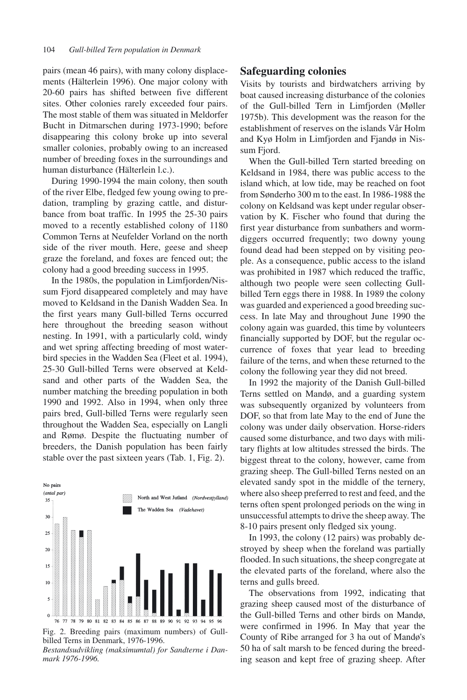pairs (mean 46 pairs), with many colony displacements (Hälterlein 1996). One major colony with 20-60 pairs has shifted between five different sites. Other colonies rarely exceeded four pairs. The most stable of them was situated in Meldorfer Bucht in Ditmarschen during 1973-1990; before disappearing this colony broke up into several smaller colonies, probably owing to an increased number of breeding foxes in the surroundings and human disturbance (Hälterlein l.c.).

During 1990-1994 the main colony, then south of the river Elbe, fledged few young owing to predation, trampling by grazing cattle, and disturbance from boat traffic. In 1995 the 25-30 pairs moved to a recently established colony of 1180 Common Terns at Neufelder Vorland on the north side of the river mouth. Here, geese and sheep graze the foreland, and foxes are fenced out; the colony had a good breeding success in 1995.

In the 1980s, the population in Limfjorden/Nissum Fjord disappeared completely and may have moved to Keldsand in the Danish Wadden Sea. In the first years many Gull-billed Terns occurred here throughout the breeding season without nesting. In 1991, with a particularly cold, windy and wet spring affecting breeding of most waterbird species in the Wadden Sea (Fleet et al. 1994), 25-30 Gull-billed Terns were observed at Keldsand and other parts of the Wadden Sea, the number matching the breeding population in both 1990 and 1992. Also in 1994, when only three pairs bred, Gull-billed Terns were regularly seen throughout the Wadden Sea, especially on Langli and Rømø. Despite the fluctuating number of breeders, the Danish population has been fairly stable over the past sixteen years (Tab. 1, Fig. 2).



Fig. 2. Breeding pairs (maximum numbers) of Gullbilled Terns in Denmark, 1976-1996.

*Bestandsudvikling (maksimumtal) for Sandterne i Danmark 1976-1996.*

#### **Safeguarding colonies**

Visits by tourists and birdwatchers arriving by boat caused increasing disturbance of the colonies of the Gull-billed Tern in Limfjorden (Møller 1975b). This development was the reason for the establishment of reserves on the islands Vår Holm and Kyø Holm in Limfjorden and Fjandø in Nissum Fjord.

When the Gull-billed Tern started breeding on Keldsand in 1984, there was public access to the island which, at low tide, may be reached on foot from Sønderho 300 m to the east. In 1986-1988 the colony on Keldsand was kept under regular observation by K. Fischer who found that during the first year disturbance from sunbathers and wormdiggers occurred frequently; two downy young found dead had been stepped on by visiting people. As a consequence, public access to the island was prohibited in 1987 which reduced the traffic, although two people were seen collecting Gullbilled Tern eggs there in 1988. In 1989 the colony was guarded and experienced a good breeding success. In late May and throughout June 1990 the colony again was guarded, this time by volunteers financially supported by DOF, but the regular occurrence of foxes that year lead to breeding failure of the terns, and when these returned to the colony the following year they did not breed.

In 1992 the majority of the Danish Gull-billed Terns settled on Mandø, and a guarding system was subsequently organized by volunteers from DOF, so that from late May to the end of June the colony was under daily observation. Horse-riders caused some disturbance, and two days with military flights at low altitudes stressed the birds. The biggest threat to the colony, however, came from grazing sheep. The Gull-billed Terns nested on an elevated sandy spot in the middle of the ternery, where also sheep preferred to rest and feed, and the terns often spent prolonged periods on the wing in unsuccessful attempts to drive the sheep away. The 8-10 pairs present only fledged six young.

In 1993, the colony (12 pairs) was probably destroyed by sheep when the foreland was partially flooded. In such situations, the sheep congregate at the elevated parts of the foreland, where also the terns and gulls breed.

The observations from 1992, indicating that grazing sheep caused most of the disturbance of the Gull-billed Terns and other birds on Mandø, were confirmed in 1996. In May that year the County of Ribe arranged for 3 ha out of Mandø's 50 ha of salt marsh to be fenced during the breeding season and kept free of grazing sheep. After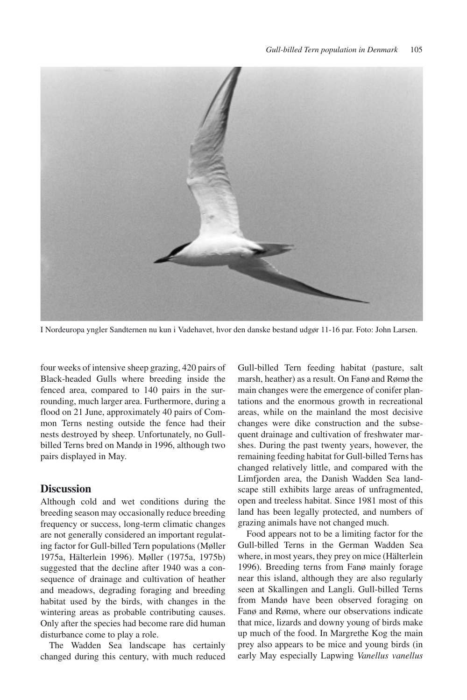

I Nordeuropa yngler Sandternen nu kun i Vadehavet, hvor den danske bestand udgør 11-16 par. Foto: John Larsen.

four weeks of intensive sheep grazing, 420 pairs of Black-headed Gulls where breeding inside the fenced area, compared to 140 pairs in the surrounding, much larger area. Furthermore, during a flood on 21 June, approximately 40 pairs of Common Terns nesting outside the fence had their nests destroyed by sheep. Unfortunately, no Gullbilled Terns bred on Mandø in 1996, although two pairs displayed in May.

### **Discussion**

Although cold and wet conditions during the breeding season may occasionally reduce breeding frequency or success, long-term climatic changes are not generally considered an important regulating factor for Gull-billed Tern populations (Møller 1975a, Hälterlein 1996). Møller (1975a, 1975b) suggested that the decline after 1940 was a consequence of drainage and cultivation of heather and meadows, degrading foraging and breeding habitat used by the birds, with changes in the wintering areas as probable contributing causes. Only after the species had become rare did human disturbance come to play a role.

The Wadden Sea landscape has certainly changed during this century, with much reduced Gull-billed Tern feeding habitat (pasture, salt marsh, heather) as a result. On Fanø and Rømø the main changes were the emergence of conifer plantations and the enormous growth in recreational areas, while on the mainland the most decisive changes were dike construction and the subsequent drainage and cultivation of freshwater marshes. During the past twenty years, however, the remaining feeding habitat for Gull-billed Terns has changed relatively little, and compared with the Limfjorden area, the Danish Wadden Sea landscape still exhibits large areas of unfragmented, open and treeless habitat. Since 1981 most of this land has been legally protected, and numbers of grazing animals have not changed much.

Food appears not to be a limiting factor for the Gull-billed Terns in the German Wadden Sea where, in most years, they prey on mice (Hälterlein 1996). Breeding terns from Fanø mainly forage near this island, although they are also regularly seen at Skallingen and Langli. Gull-billed Terns from Mandø have been observed foraging on Fanø and Rømø, where our observations indicate that mice, lizards and downy young of birds make up much of the food. In Margrethe Kog the main prey also appears to be mice and young birds (in early May especially Lapwing *Vanellus vanellus*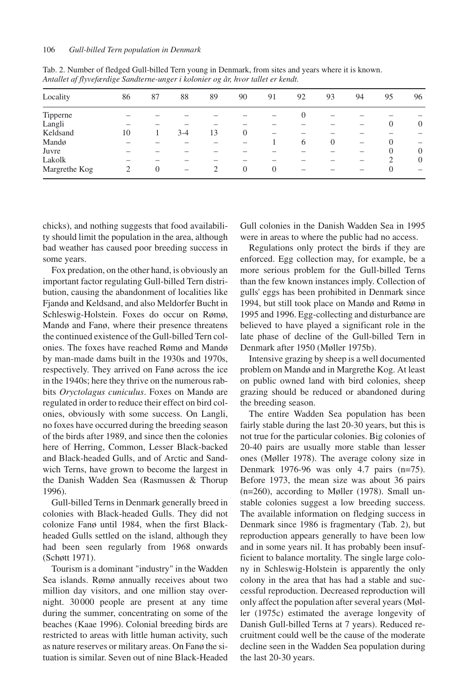| Locality      | 86 | 87                       | 88  | 89 | 90       | 91       | 92       | 93       | 94                       | 95             | 96                       |
|---------------|----|--------------------------|-----|----|----------|----------|----------|----------|--------------------------|----------------|--------------------------|
| Tipperne      |    |                          |     |    |          |          | $\theta$ |          |                          |                |                          |
| Langli        |    |                          |     |    |          |          |          |          |                          | $\overline{0}$ | $\theta$                 |
| Keldsand      | 10 |                          | 3-4 | 13 | 0        | -        |          |          |                          |                |                          |
| Mandø         |    |                          |     |    |          |          | 6        | $\Omega$ | $\overline{\phantom{0}}$ | 0              | $\overline{\phantom{m}}$ |
| Juvre         |    |                          |     |    |          |          |          |          | -                        | $\overline{0}$ | $\theta$                 |
| Lakolk        |    | $\overline{\phantom{a}}$ |     |    |          |          |          |          |                          | 2              | $\theta$                 |
| Margrethe Kog |    | $\Omega$                 |     |    | $\theta$ | $\Omega$ |          |          |                          | 0              |                          |

Tab. 2. Number of fledged Gull-billed Tern young in Denmark, from sites and years where it is known. *Antallet af flyvefærdige Sandterne-unger i kolonier og år, hvor tallet er kendt.*

chicks), and nothing suggests that food availability should limit the population in the area, although bad weather has caused poor breeding success in some years.

Fox predation, on the other hand, is obviously an important factor regulating Gull-billed Tern distribution, causing the abandonment of localities like Fjandø and Keldsand, and also Meldorfer Bucht in Schleswig-Holstein. Foxes do occur on Rømø, Mandø and Fanø, where their presence threatens the continued existence of the Gull-billed Tern colonies. The foxes have reached Rømø and Mandø by man-made dams built in the 1930s and 1970s, respectively. They arrived on Fanø across the ice in the 1940s; here they thrive on the numerous rabbits *Oryctolagus cuniculus*. Foxes on Mandø are regulated in order to reduce their effect on bird colonies, obviously with some success. On Langli, no foxes have occurred during the breeding season of the birds after 1989, and since then the colonies here of Herring, Common, Lesser Black-backed and Black-headed Gulls, and of Arctic and Sandwich Terns, have grown to become the largest in the Danish Wadden Sea (Rasmussen & Thorup 1996).

Gull-billed Terns in Denmark generally breed in colonies with Black-headed Gulls. They did not colonize Fanø until 1984, when the first Blackheaded Gulls settled on the island, although they had been seen regularly from 1968 onwards (Schøtt 1971).

Tourism is a dominant "industry" in the Wadden Sea islands. Rømø annually receives about two million day visitors, and one million stay overnight. 30 000 people are present at any time during the summer, concentrating on some of the beaches (Kaae 1996). Colonial breeding birds are restricted to areas with little human activity, such as nature reserves or military areas. On Fanø the situation is similar. Seven out of nine Black-Headed Gull colonies in the Danish Wadden Sea in 1995 were in areas to where the public had no access.

Regulations only protect the birds if they are enforced. Egg collection may, for example, be a more serious problem for the Gull-billed Terns than the few known instances imply. Collection of gulls' eggs has been prohibited in Denmark since 1994, but still took place on Mandø and Rømø in 1995 and 1996. Egg-collecting and disturbance are believed to have played a significant role in the late phase of decline of the Gull-billed Tern in Denmark after 1950 (Møller 1975b).

Intensive grazing by sheep is a well documented problem on Mandø and in Margrethe Kog. At least on public owned land with bird colonies, sheep grazing should be reduced or abandoned during the breeding season.

The entire Wadden Sea population has been fairly stable during the last 20-30 years, but this is not true for the particular colonies. Big colonies of 20-40 pairs are usually more stable than lesser ones (Møller 1978). The average colony size in Denmark 1976-96 was only 4.7 pairs (n=75). Before 1973, the mean size was about 36 pairs (n=260), according to Møller (1978). Small unstable colonies suggest a low breeding success. The available information on fledging success in Denmark since 1986 is fragmentary (Tab. 2), but reproduction appears generally to have been low and in some years nil. It has probably been insufficient to balance mortality. The single large colony in Schleswig-Holstein is apparently the only colony in the area that has had a stable and successful reproduction. Decreased reproduction will only affect the population after several years (Møller (1975c) estimated the average longevity of Danish Gull-billed Terns at 7 years). Reduced recruitment could well be the cause of the moderate decline seen in the Wadden Sea population during the last 20-30 years.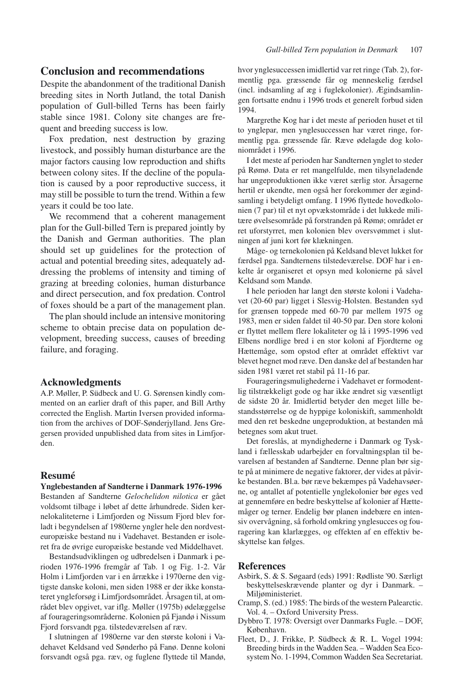### **Conclusion and recommendations**

Despite the abandonment of the traditional Danish breeding sites in North Jutland, the total Danish population of Gull-billed Terns has been fairly stable since 1981. Colony site changes are frequent and breeding success is low.

Fox predation, nest destruction by grazing livestock, and possibly human disturbance are the major factors causing low reproduction and shifts between colony sites. If the decline of the population is caused by a poor reproductive success, it may still be possible to turn the trend. Within a few years it could be too late.

We recommend that a coherent management plan for the Gull-billed Tern is prepared jointly by the Danish and German authorities. The plan should set up guidelines for the protection of actual and potential breeding sites, adequately addressing the problems of intensity and timing of grazing at breeding colonies, human disturbance and direct persecution, and fox predation. Control of foxes should be a part of the management plan.

The plan should include an intensive monitoring scheme to obtain precise data on population development, breeding success, causes of breeding failure, and foraging.

#### **Acknowledgments**

A.P. Møller, P. Südbeck and U. G. Sørensen kindly commented on an earlier draft of this paper, and Bill Arthy corrected the English. Martin Iversen provided information from the archives of DOF-Sønderjylland. Jens Gregersen provided unpublished data from sites in Limfjorden.

#### **Resumé**

#### **Ynglebestanden af Sandterne i Danmark 1976-1996**

Bestanden af Sandterne *Gelochelidon nilotica* er gået voldsomt tilbage i løbet af dette århundrede. Siden kernelokaliteterne i Limfjorden og Nissum Fjord blev forladt i begyndelsen af 1980erne yngler hele den nordvesteuropæiske bestand nu i Vadehavet. Bestanden er isoleret fra de øvrige europæiske bestande ved Middelhavet.

Bestandsudviklingen og udbredelsen i Danmark i perioden 1976-1996 fremgår af Tab. 1 og Fig. 1-2. Vår Holm i Limfjorden var i en årrække i 1970erne den vigtigste danske koloni, men siden 1988 er der ikke konstateret yngleforsøg i Limfjordsområdet. Årsagen til, at området blev opgivet, var iflg. Møller (1975b) ødelæggelse af fourageringsområderne. Kolonien på Fjandø i Nissum Fjord forsvandt pga. tilstedeværelsen af ræv.

I slutningen af 1980erne var den største koloni i Vadehavet Keldsand ved Sønderho på Fanø. Denne koloni forsvandt også pga. ræv, og fuglene flyttede til Mandø, hvor ynglesuccessen imidlertid var ret ringe (Tab. 2), formentlig pga. græssende får og menneskelig færdsel (incl. indsamling af æg i fuglekolonier). Ægindsamlingen fortsatte endnu i 1996 trods et generelt forbud siden 1994.

Margrethe Kog har i det meste af perioden huset et til to ynglepar, men ynglesuccessen har været ringe, formentlig pga. græssende får. Ræve ødelagde dog koloniområdet i 1996.

I det meste af perioden har Sandternen ynglet to steder på Rømø. Data er ret mangelfulde, men tilsyneladende har ungeproduktionen ikke været særlig stor. Årsagerne hertil er ukendte, men også her forekommer der ægindsamling i betydeligt omfang. I 1996 flyttede hovedkolonien (7 par) til et nyt opvækstområde i det lukkede militære øvelsesområde på forstranden på Rømø; området er ret uforstyrret, men kolonien blev oversvømmet i slutningen af juni kort før klækningen.

Måge- og ternekolonien på Keldsand blevet lukket for færdsel pga. Sandternens tilstedeværelse. DOF har i enkelte år organiseret et opsyn med kolonierne på såvel Keldsand som Mandø.

I hele perioden har langt den største koloni i Vadehavet (20-60 par) ligget i Slesvig-Holsten. Bestanden syd for grænsen toppede med 60-70 par mellem 1975 og 1983, men er siden faldet til 40-50 par. Den store koloni er flyttet mellem flere lokaliteter og lå i 1995-1996 ved Elbens nordlige bred i en stor koloni af Fjordterne og Hættemåge, som opstod efter at området effektivt var blevet hegnet mod ræve. Den danske del af bestanden har siden 1981 været ret stabil på 11-16 par.

Fourageringsmulighederne i Vadehavet er formodentlig tilstrækkeligt gode og har ikke ændret sig væsentligt de sidste 20 år. Imidlertid betyder den meget lille bestandsstørrelse og de hyppige koloniskift, sammenholdt med den ret beskedne ungeproduktion, at bestanden må betegnes som akut truet.

Det foreslås, at myndighederne i Danmark og Tyskland i fællesskab udarbejder en forvaltningsplan til bevarelsen af bestanden af Sandterne. Denne plan bør sigte på at minimere de negative faktorer, der vides at påvirke bestanden. Bl.a. bør ræve bekæmpes på Vadehavsøerne, og antallet af potentielle ynglekolonier bør øges ved at gennemføre en bedre beskyttelse af kolonier af Hættemåger og terner. Endelig bør planen indebære en intensiv overvågning, så forhold omkring ynglesucces og fouragering kan klarlægges, og effekten af en effektiv beskyttelse kan følges.

#### **References**

- Asbirk, S. & S. Søgaard (eds) 1991: Rødliste '90. Særligt beskyttelseskrævende planter og dyr i Danmark. – Miljøministeriet.
- Cramp, S. (ed.) 1985: The birds of the western Palearctic. Vol. 4. – Oxford University Press.
- Dybbro T. 1978: Oversigt over Danmarks Fugle. DOF, København.
- Fleet, D., J. Frikke, P. Südbeck & R. L. Vogel 1994: Breeding birds in the Wadden Sea. – Wadden Sea Ecosystem No. 1-1994, Common Wadden Sea Secretariat.